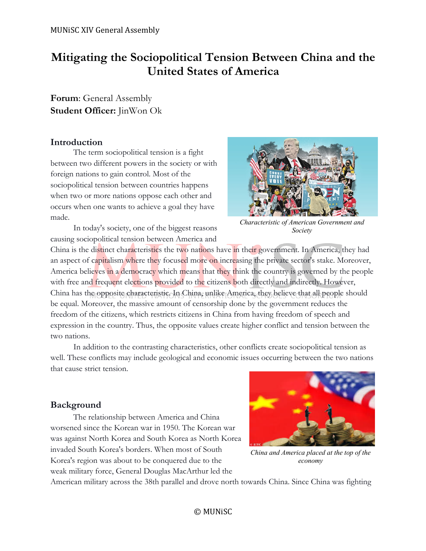# **Mitigating the Sociopolitical Tension Between China and the United States of America**

**Forum**: General Assembly **Student Officer:** JinWon Ok

# **Introduction**

The term sociopolitical tension is a fight between two different powers in the society or with foreign nations to gain control. Most of the sociopolitical tension between countries happens when two or more nations oppose each other and occurs when one wants to achieve a goal they have made.

In today's society, one of the biggest reasons causing sociopolitical tension between America and

China is the distinct characteristics the two nations have in their government. In America, they had an aspect of capitalism where they focused more on increasing the private sector's stake. Moreover, America believes in a democracy which means that they think the country is governed by the people with free and frequent elections provided to the citizens both directly and indirectly. However, China has the opposite characteristic. In China, unlike America, they believe that all people should be equal. Moreover, the massive amount of censorship done by the government reduces the freedom of the citizens, which restricts citizens in China from having freedom of speech and expression in the country. Thus, the opposite values create higher conflict and tension between the

In addition to the contrasting characteristics, other conflicts create sociopolitical tension as well. These conflicts may include geological and economic issues occurring between the two nations that cause strict tension.

# **Background**

two nations.

The relationship between America and China worsened since the Korean war in 1950. The Korean war was against North Korea and South Korea as North Korea invaded South Korea's borders. When most of South Korea's region was about to be conquered due to the weak military force, General Douglas MacArthur led the



*China and America placed at the top of the economy*

American military across the 38th parallel and drove north towards China. Since China was fighting



*Characteristic of American Government and Society*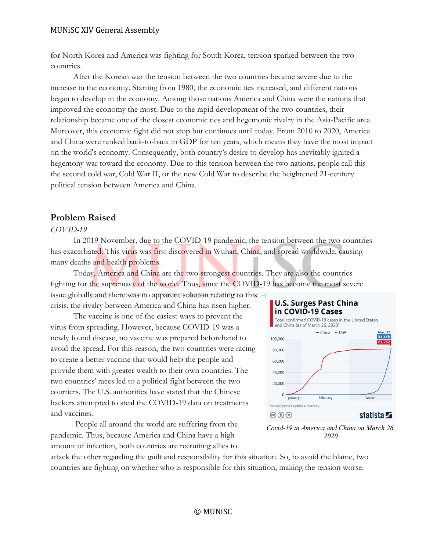### MUNISC XIV General Assembly

for North Korea and America was fighting for South Korea, tension sparked between the two countries.

After the Korean war the tension between the two countries became severe due to the increase in the economy. Starting from 1980, the economic ties increased, and different nations began to develop in the economy. Among those nations America and China were the nations that improved the economy the most. Due to the rapid development of the two countries, their relationship became one of the closest economic ties and hegemonic rivalry in the Asia-Pacific area. Moreover, this economic fight did not stop but continues until today. From 2010 to 2020, America and China were ranked back-to-back in GDP for ten years, which means they have the most impact on the world's economy. Consequently, both country's desire to develop has inevitably ignited a hegemony war toward the economy. Due to this tension between the two nations, people call this the second cold war, Cold War II, or the new Cold War to describe the heightened 21-century political tension between America and China.

# **Problem Raised**

#### *COVID-19*

In 2019 November, due to the COVID-19 pandemic, the tension between the two countries has exacerbated. This virus was first discovered in Wuhan, China, and spread worldwide, causing many deaths and health problems.

Today, America and China are the two strongest countries. They are also the countries fighting for the supremacy of the world. Thus, since the COVID-19 has become the most severe issue globally and there was no apparent solution relating to this

crisis, the rivalry between America and China has risen higher.

The vaccine is one of the easiest ways to prevent the virus from spreading. However, because COVID-19 was a newly found disease, no vaccine was prepared beforehand to avoid the spread. For this reason, the two countries were racing to create a better vaccine that would help the people and provide them with greater wealth to their own countries. The two countries' races led to a political fight between the two courtiers. The U.S. authorities have stated that the Chinese hackers attempted to steal the COVID-19 data on treatments and vaccines.

People all around the world are suffering from the pandemic. Thus, because America and China have a high amount of infection, both countries are recruiting allies to



*Covid-19 in America and China on March 26, 2020*

attack the other regarding the guilt and responsibility for this situation. So, to avoid the blame, two countries are fighting on whether who is responsible for this situation, making the tension worse.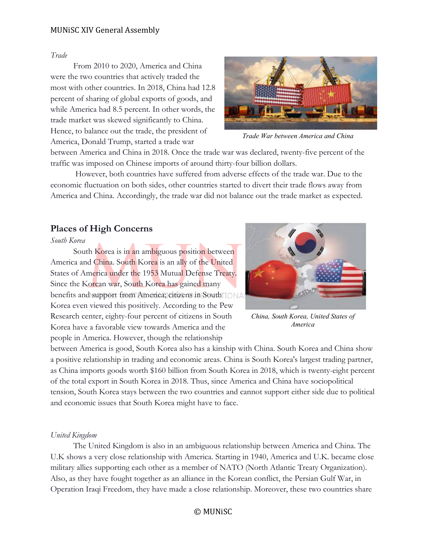### MUNISC XIV General Assembly

#### *Trade*

From 2010 to 2020, America and China were the two countries that actively traded the most with other countries. In 2018, China had 12.8 percent of sharing of global exports of goods, and while America had 8.5 percent. In other words, the trade market was skewed significantly to China. Hence, to balance out the trade, the president of America, Donald Trump, started a trade war



*Trade War between America and China*

between America and China in 2018. Once the trade war was declared, twenty-five percent of the traffic was imposed on Chinese imports of around thirty-four billion dollars.

However, both countries have suffered from adverse effects of the trade war. Due to the economic fluctuation on both sides, other countries started to divert their trade flows away from America and China. Accordingly, the trade war did not balance out the trade market as expected.

### **Places of High Concerns**

#### *South Korea*

South Korea is in an ambiguous position between America and China. South Korea is an ally of the United States of America under the 1953 Mutual Defense Treaty. Since the Korean war, South Korea has gained many benefits and support from America; citizens in South IONA Korea even viewed this positively. According to the Pew Research center, eighty-four percent of citizens in South Korea have a favorable view towards America and the people in America. However, though the relationship



*China, South Korea, United States of America*

between America is good, South Korea also has a kinship with China. South Korea and China show a positive relationship in trading and economic areas. China is South Korea's largest trading partner, as China imports goods worth \$160 billion from South Korea in 2018, which is twenty-eight percent of the total export in South Korea in 2018. Thus, since America and China have sociopolitical tension, South Korea stays between the two countries and cannot support either side due to political and economic issues that South Korea might have to face.

#### *United Kingdom*

The United Kingdom is also in an ambiguous relationship between America and China. The U.K shows a very close relationship with America. Starting in 1940, America and U.K. became close military allies supporting each other as a member of NATO (North Atlantic Treaty Organization). Also, as they have fought together as an alliance in the Korean conflict, the Persian Gulf War, in Operation Iraqi Freedom, they have made a close relationship. Moreover, these two countries share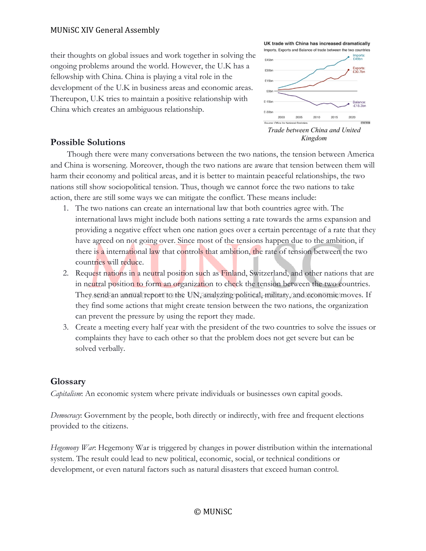their thoughts on global issues and work together in solving the ongoing problems around the world. However, the U.K has a fellowship with China. China is playing a vital role in the development of the U.K in business areas and economic areas. Thereupon, U.K tries to maintain a positive relationship with China which creates an ambiguous relationship.



# **Possible Solutions**

Though there were many conversations between the two nations, the tension between America and China is worsening. Moreover, though the two nations are aware that tension between them will harm their economy and political areas, and it is better to maintain peaceful relationships, the two nations still show sociopolitical tension. Thus, though we cannot force the two nations to take action, there are still some ways we can mitigate the conflict. These means include:

- 1. The two nations can create an international law that both countries agree with. The international laws might include both nations setting a rate towards the arms expansion and providing a negative effect when one nation goes over a certain percentage of a rate that they have agreed on not going over. Since most of the tensions happen due to the ambition, if there is a international law that controls that ambition, the rate of tension between the two countries will reduce.
- 2. Request nations in a neutral position such as Finland, Switzerland, and other nations that are in neutral position to form an organization to check the tension between the two countries. They send an annual report to the UN, analyzing political, military, and economic moves. If they find some actions that might create tension between the two nations, the organization can prevent the pressure by using the report they made.
- 3. Create a meeting every half year with the president of the two countries to solve the issues or complaints they have to each other so that the problem does not get severe but can be solved verbally.

# **Glossary**

*Capitalism*: An economic system where private individuals or businesses own capital goods.

*Democracy*: Government by the people, both directly or indirectly, with free and frequent elections provided to the citizens.

*Hegemony War*: Hegemony War is triggered by changes in power distribution within the international system. The result could lead to new political, economic, social, or technical conditions or development, or even natural factors such as natural disasters that exceed human control.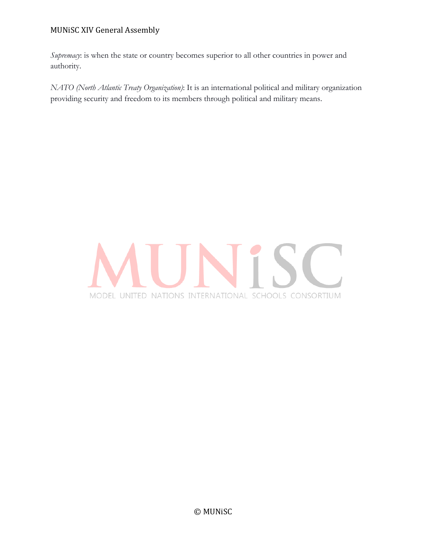# MUNISC XIV General Assembly

*Supremacy*: is when the state or country becomes superior to all other countries in power and authority.

*NATO (North Atlantic Treaty Organization)*: It is an international political and military organization providing security and freedom to its members through political and military means.



© MUNiSC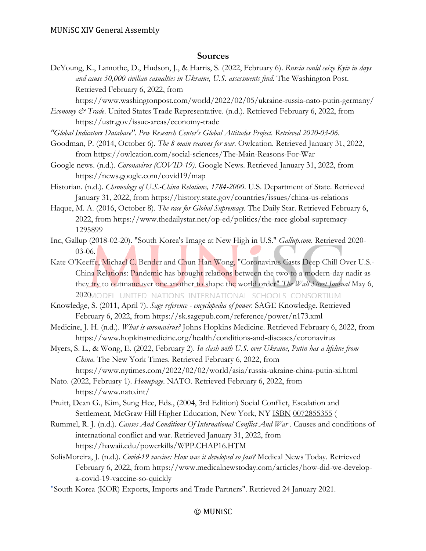#### **Sources**

DeYoung, K., Lamothe, D., Hudson, J., & Harris, S. (2022, February 6). *Russia could seize Kyiv in days and cause 50,000 civilian casualties in Ukraine, U.S. assessments find*. The Washington Post. Retrieved February 6, 2022, from

https://www.washingtonpost.com/world/2022/02/05/ukraine-russia-nato-putin-germany/

- *Economy & Trade*. United States Trade Representative. (n.d.). Retrieved February 6, 2022, from https://ustr.gov/issue-areas/economy-trade
- *"Global Indicators Database". Pew Research Center's Global Attitudes Project. Retrieved 2020-03-06.*
- Goodman, P. (2014, October 6). *The 8 main reasons for war*. Owlcation. Retrieved January 31, 2022, from https://owlcation.com/social-sciences/The-Main-Reasons-For-War
- Google news. (n.d.). *Coronavirus (COVID-19)*. Google News. Retrieved January 31, 2022, from https://news.google.com/covid19/map
- Historian. (n.d.). *Chronology of U.S.-China Relations, 1784-2000*. U.S. Department of State. Retrieved January 31, 2022, from https://history.state.gov/countries/issues/china-us-relations
- Haque, M. A. (2016, October 8). *The race for Global Supremacy*. The Daily Star. Retrieved February 6, 2022, from https://www.thedailystar.net/op-ed/politics/the-race-global-supremacy-1295899
- Inc, Gallup (2018-02-20). "South Korea's Image at New High in U.S." *Gallup.com*. Retrieved 2020- 03-06.
- Kate O'Keeffe, Michael C. Bender and Chun Han Wong, "Coronavirus Casts Deep Chill Over U.S.- China Relations: Pandemic has brought relations between the two to a modern-day nadir as they try to outmaneuver one another to shape the world order" *The Wall Street Journal* May 6, 2020MODEL UNITED NATIONS INTERNATIONAL SCHOOLS CONSORTIUM
- Knowledge, S. (2011, April 7). *Sage reference - encyclopedia of power*. SAGE Knowledge. Retrieved February 6, 2022, from https://sk.sagepub.com/reference/power/n173.xml
- Medicine, J. H. (n.d.). *What is coronavirus?* Johns Hopkins Medicine. Retrieved February 6, 2022, from https://www.hopkinsmedicine.org/health/conditions-and-diseases/coronavirus
- Myers, S. L., & Wong, E. (2022, February 2). *In clash with U.S. over Ukraine, Putin has a lifeline from China*. The New York Times. Retrieved February 6, 2022, from https://www.nytimes.com/2022/02/02/world/asia/russia-ukraine-china-putin-xi.html
- Nato. (2022, February 1). *Homepage*. NATO. Retrieved February 6, 2022, from https://www.nato.int/
- Pruitt, Dean G., Kim, Sung Hee, Eds., (2004, 3rd Edition) Social Conflict, Escalation and Settlement, McGraw Hill Higher Education, New York, NY ISBN 0072855355 (
- Rummel, R. J. (n.d.). *Causes And Conditions Of International Conflict And War*. Causes and conditions of international conflict and war. Retrieved January 31, 2022, from https://hawaii.edu/powerkills/WPP.CHAP16.HTM
- SolisMoreira, J. (n.d.). *Covid-19 vaccine: How was it developed so fast?* Medical News Today. Retrieved February 6, 2022, from https://www.medicalnewstoday.com/articles/how-did-we-developa-covid-19-vaccine-so-quickly
- "South Korea (KOR) Exports, Imports and Trade Partners". Retrieved 24 January 2021.

#### © MUNiSC